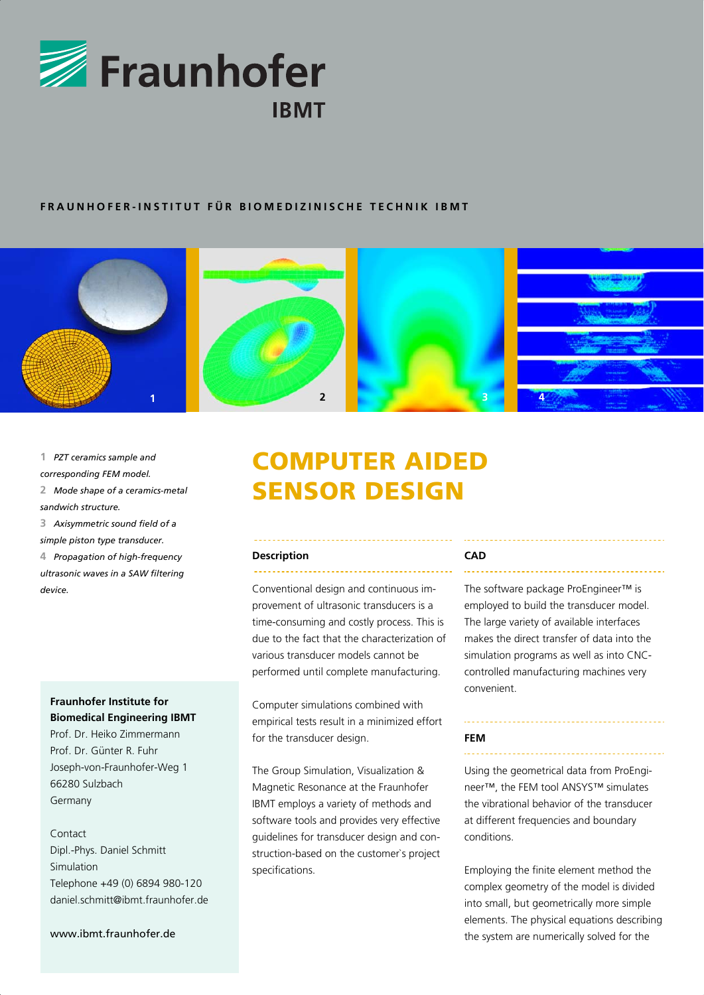

## **FRAUNHOFER-INSTITUT FÜR BIOMEDIZINISCHE TECHNIK IBMT**



**1** *PZT ceramics sample and* 

- *corresponding FEM model.*
- **2** *Mode shape of a ceramics-metal sandwich structure.*
- **3** *Axisymmetric sound field of a simple piston type transducer.*

**4** *Propagation of high-frequency ultrasonic waves in a SAW filtering device.*

## **Fraunhofer Institute for Biomedical Engineering IBMT**

Prof. Dr. Heiko Zimmermann Prof. Dr. Günter R. Fuhr Joseph-von-Fraunhofer-Weg 1 66280 Sulzbach Germany

# Contact

Dipl.-Phys. Daniel Schmitt Simulation Telephone +49 (0) 6894 980-120 daniel.schmitt@ibmt.fraunhofer.de

#### www.ibmt.fraunhofer.de

# COMPUTER AIDED SENSOR DESIGN

#### **Description**

Conventional design and continuous improvement of ultrasonic transducers is a time-consuming and costly process. This is due to the fact that the characterization of various transducer models cannot be performed until complete manufacturing.

Computer simulations combined with empirical tests result in a minimized effort for the transducer design.

The Group Simulation, Visualization & Magnetic Resonance at the Fraunhofer IBMT employs a variety of methods and software tools and provides very effective guidelines for transducer design and construction-based on the customer`s project specifications.

#### **CAD**

The software package ProEngineer™ is employed to build the transducer model. The large variety of available interfaces makes the direct transfer of data into the simulation programs as well as into CNCcontrolled manufacturing machines very convenient.

#### **FEM**

Using the geometrical data from ProEngineer™, the FEM tool ANSYS™ simulates the vibrational behavior of the transducer at different frequencies and boundary conditions.

Employing the finite element method the complex geometry of the model is divided into small, but geometrically more simple elements. The physical equations describing the system are numerically solved for the